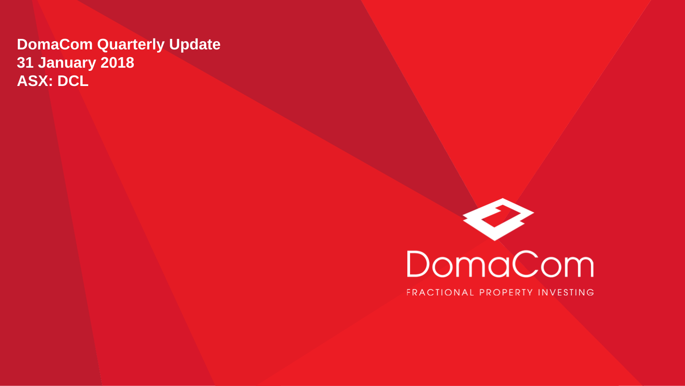#### **DomaCom Quarterly Update 31 January 2018 ASX: DCL**

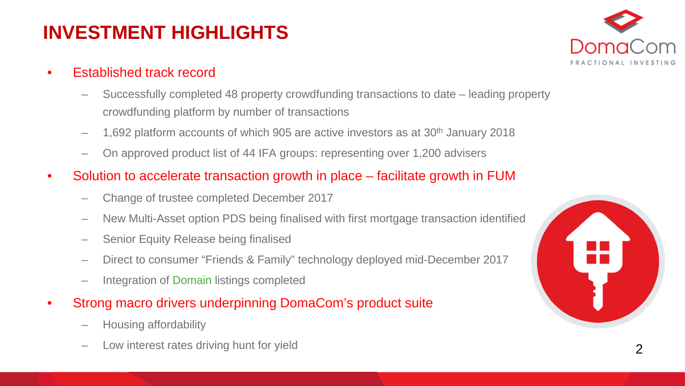## **INVESTMENT HIGHLIGHTS**

- Established track record
	- Successfully completed 48 property crowdfunding transactions to date leading property crowdfunding platform by number of transactions
	- 1,692 platform accounts of which 905 are active investors as at  $30<sup>th</sup>$  January 2018
	- On approved product list of 44 IFA groups: representing over 1,200 advisers
- Solution to accelerate transaction growth in place facilitate growth in FUM
	- Change of trustee completed December 2017
	- New Multi-Asset option PDS being finalised with first mortgage transaction identified
	- Senior Equity Release being finalised
	- Direct to consumer "Friends & Family" technology deployed mid-December 2017
	- Integration of Domain listings completed
- Strong macro drivers underpinning DomaCom's product suite
	- Housing affordability
	- Low interest rates driving hunt for yield

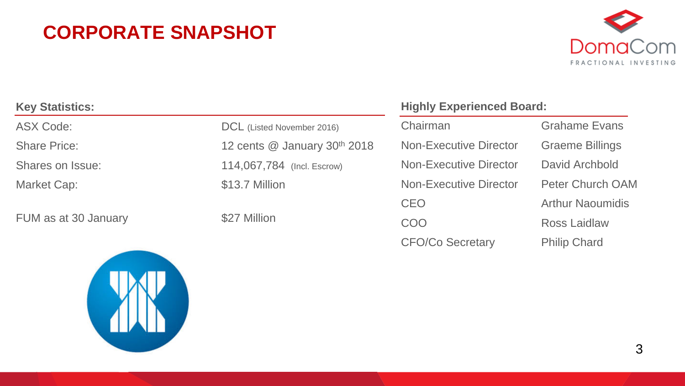### **CORPORATE SNAPSHOT**



| <b>Key Statistics:</b> |                              | <b>Highly Experienced Board:</b> |                         |
|------------------------|------------------------------|----------------------------------|-------------------------|
| <b>ASX Code:</b>       | DCL (Listed November 2016)   | Chairman                         | <b>Grahame Evans</b>    |
| <b>Share Price:</b>    | 12 cents @ January 30th 2018 | <b>Non-Executive Director</b>    | <b>Graeme Billings</b>  |
| Shares on Issue:       | 114,067,784 (Incl. Escrow)   | <b>Non-Executive Director</b>    | David Archbold          |
| Market Cap:            | \$13.7 Million               | <b>Non-Executive Director</b>    | <b>Peter Church OAM</b> |
|                        |                              | <b>CEO</b>                       | <b>Arthur Naoumidis</b> |
| FUM as at 30 January   | \$27 Million                 | COO                              | <b>Ross Laidlaw</b>     |



CFO/Co Secretary Philip Chard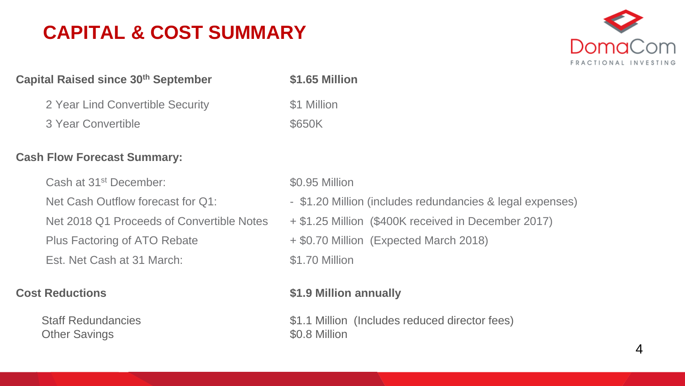### **CAPITAL & COST SUMMARY**



#### **Capital Raised since 30th September \$1.65 Million**

2 Year Lind Convertible Security **\$1 Million** 

3 Year Convertible \$650K

#### **Cash Flow Forecast Summary:**

Cash at 31<sup>st</sup> December:  $$0.95$  Million

Est. Net Cash at 31 March: \$1.70 Million

Other Savings **but a strategies of the Southern Solid Million** 

- Net Cash Outflow forecast for Q1:  $\qquad \qquad$  \$1.20 Million (includes redundancies & legal expenses)
- Net 2018 Q1 Proceeds of Convertible Notes + \$1.25 Million (\$400K received in December 2017)
- Plus Factoring of ATO Rebate  $+ $0.70$  Million (Expected March 2018)

#### **Cost Reductions \$1.9 Million annually**

Staff Redundancies \$1.1 Million (Includes reduced director fees)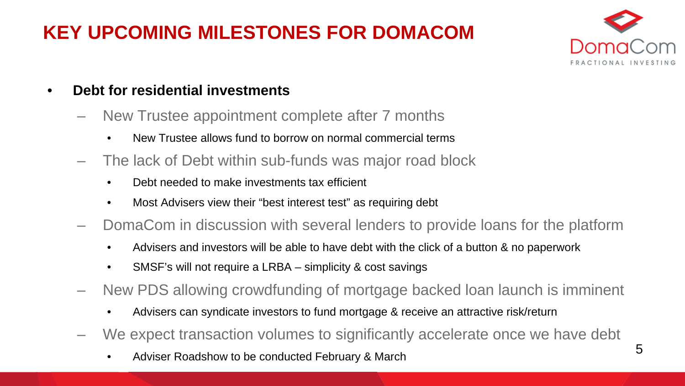# **KEY UPCOMING MILESTONES FOR DOMACOM**



- **Debt for residential investments**
	- New Trustee appointment complete after 7 months
		- New Trustee allows fund to borrow on normal commercial terms
	- The lack of Debt within sub-funds was major road block
		- Debt needed to make investments tax efficient
		- Most Advisers view their "best interest test" as requiring debt
	- DomaCom in discussion with several lenders to provide loans for the platform
		- Advisers and investors will be able to have debt with the click of a button & no paperwork
		- SMSF's will not require a LRBA simplicity & cost savings
	- New PDS allowing crowdfunding of mortgage backed loan launch is imminent
		- Advisers can syndicate investors to fund mortgage & receive an attractive risk/return
	- We expect transaction volumes to significantly accelerate once we have debt
		- Adviser Roadshow to be conducted February & March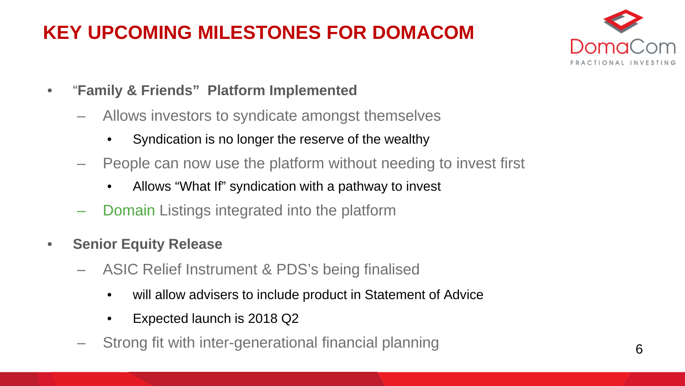# **KEY UPCOMING MILESTONES FOR DOMACOM**



- "**Family & Friends" Platform Implemented** 
	- Allows investors to syndicate amongst themselves
		- Syndication is no longer the reserve of the wealthy
	- People can now use the platform without needing to invest first
		- Allows "What If" syndication with a pathway to invest
	- Domain Listings integrated into the platform
- **Senior Equity Release**
	- ASIC Relief Instrument & PDS's being finalised
		- will allow advisers to include product in Statement of Advice
		- Expected launch is 2018 Q2
	- Strong fit with inter-generational financial planning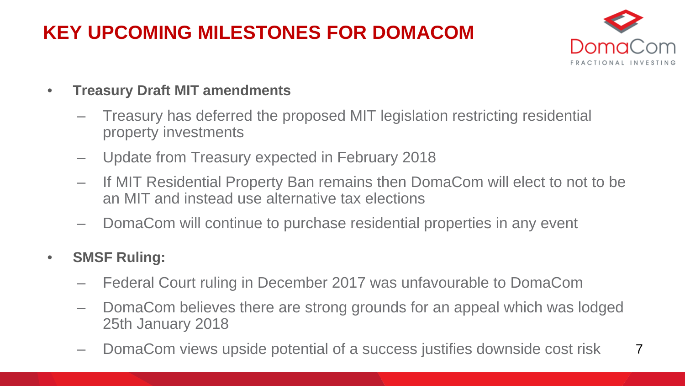## **KEY UPCOMING MILESTONES FOR DOMACOM**



- **Treasury Draft MIT amendments** 
	- Treasury has deferred the proposed MIT legislation restricting residential property investments
	- Update from Treasury expected in February 2018
	- If MIT Residential Property Ban remains then DomaCom will elect to not to be an MIT and instead use alternative tax elections
	- DomaCom will continue to purchase residential properties in any event
- **SMSF Ruling:** 
	- Federal Court ruling in December 2017 was unfavourable to DomaCom
	- DomaCom believes there are strong grounds for an appeal which was lodged 25th January 2018
	- 7 – DomaCom views upside potential of a success justifies downside cost risk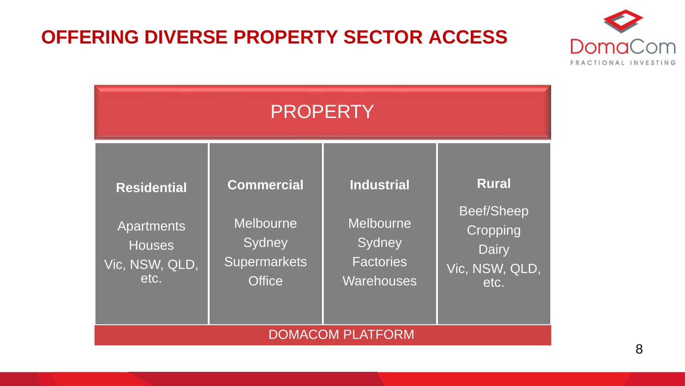#### **OFFERING DIVERSE PROPERTY SECTOR ACCESS**



| <b>PROPERTY</b>                                                                    |                                                                                         |                                                                                          |                                                                                         |  |  |
|------------------------------------------------------------------------------------|-----------------------------------------------------------------------------------------|------------------------------------------------------------------------------------------|-----------------------------------------------------------------------------------------|--|--|
| <b>Residential</b><br><b>Apartments</b><br><b>Houses</b><br>Vic, NSW, QLD,<br>etc. | <b>Commercial</b><br><b>Melbourne</b><br>Sydney<br><b>Supermarkets</b><br><b>Office</b> | <b>Industrial</b><br><b>Melbourne</b><br>Sydney<br><b>Factories</b><br><b>Warehouses</b> | <b>Rural</b><br><b>Beef/Sheep</b><br>Cropping<br><b>Dairy</b><br>Vic, NSW, QLD,<br>etc. |  |  |
| <b>DOMACOM PLATFORM</b>                                                            |                                                                                         |                                                                                          |                                                                                         |  |  |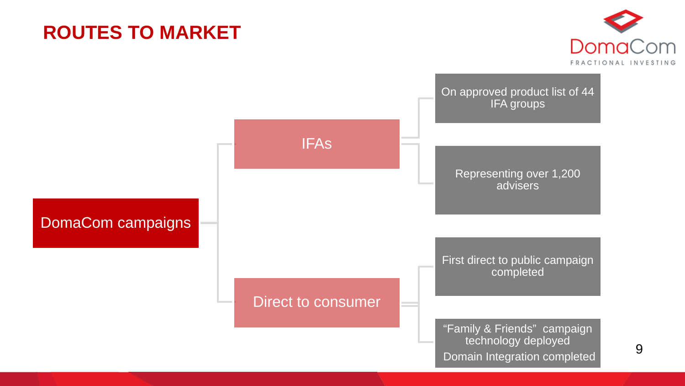### **ROUTES TO MARKET**



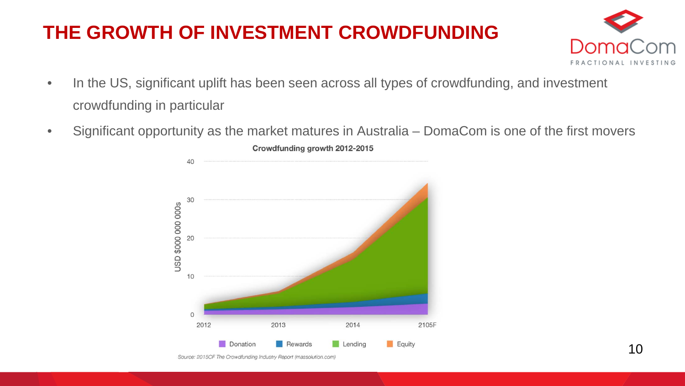## **THE GROWTH OF INVESTMENT CROWDFUNDING**



- In the US, significant uplift has been seen across all types of crowdfunding, and investment crowdfunding in particular
- Significant opportunity as the market matures in Australia DomaCom is one of the first movers



Crowdfunding growth 2012-2015

Source: 2015CF The Crowdfunding Industry Report (massolution.com)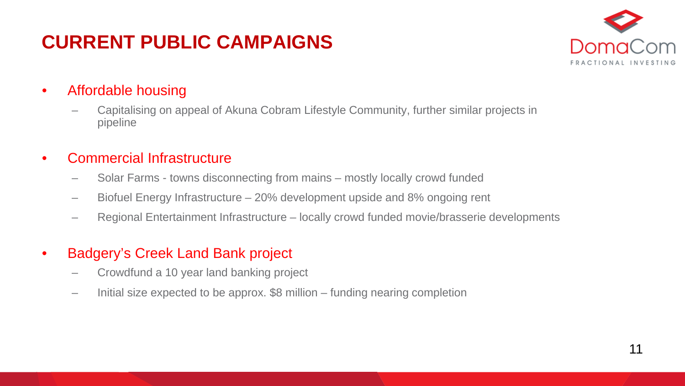## **CURRENT PUBLIC CAMPAIGNS**



#### • Affordable housing

– Capitalising on appeal of Akuna Cobram Lifestyle Community, further similar projects in pipeline

#### • Commercial Infrastructure

- Solar Farms towns disconnecting from mains mostly locally crowd funded
- Biofuel Energy Infrastructure 20% development upside and 8% ongoing rent
- Regional Entertainment Infrastructure locally crowd funded movie/brasserie developments

#### • Badgery's Creek Land Bank project

- Crowdfund a 10 year land banking project
- Initial size expected to be approx. \$8 million funding nearing completion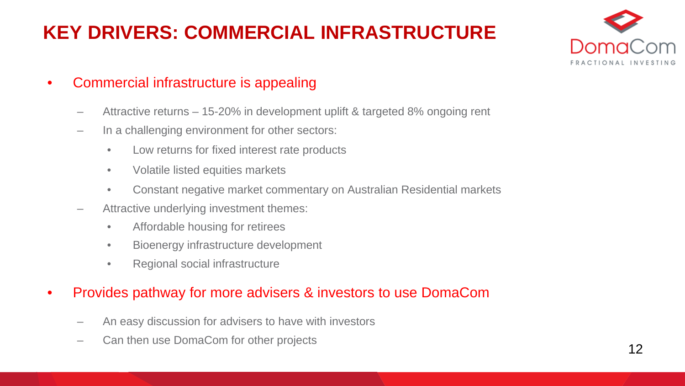## **KEY DRIVERS: COMMERCIAL INFRASTRUCTURE**



- Commercial infrastructure is appealing
	- Attractive returns 15-20% in development uplift & targeted 8% ongoing rent
	- In a challenging environment for other sectors:
		- Low returns for fixed interest rate products
		- Volatile listed equities markets
		- Constant negative market commentary on Australian Residential markets
	- Attractive underlying investment themes:
		- Affordable housing for retirees
		- Bioenergy infrastructure development
		- Regional social infrastructure

#### • Provides pathway for more advisers & investors to use DomaCom

- An easy discussion for advisers to have with investors
- Can then use DomaCom for other projects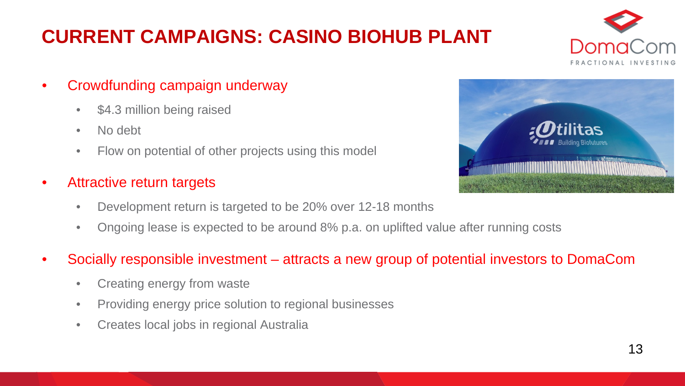# **CURRENT CAMPAIGNS: CASINO BIOHUB PLANT**



- Crowdfunding campaign underway
	- \$4.3 million being raised
	- No debt
	- Flow on potential of other projects using this model

#### • Attractive return targets

- Development return is targeted to be 20% over 12-18 months
- Ongoing lease is expected to be around 8% p.a. on uplifted value after running costs

#### • Socially responsible investment – attracts a new group of potential investors to DomaCom

- Creating energy from waste
- Providing energy price solution to regional businesses
- Creates local jobs in regional Australia

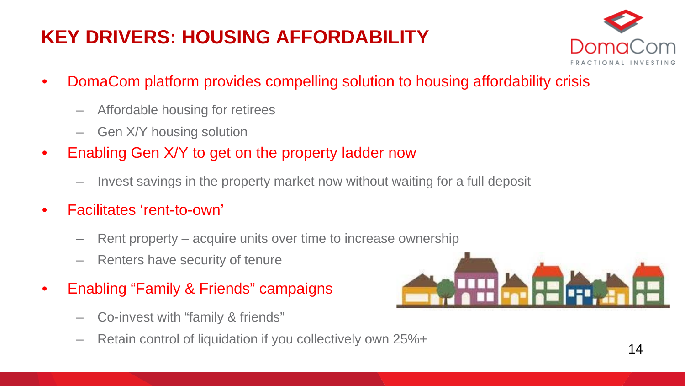# **KEY DRIVERS: HOUSING AFFORDABILITY**



- DomaCom platform provides compelling solution to housing affordability crisis
	- Affordable housing for retirees
	- Gen X/Y housing solution
- Enabling Gen X/Y to get on the property ladder now
	- Invest savings in the property market now without waiting for a full deposit
- Facilitates 'rent-to-own'
	- Rent property acquire units over time to increase ownership
	- Renters have security of tenure
- Enabling "Family & Friends" campaigns
	- Co-invest with "family & friends"
	- Retain control of liquidation if you collectively own 25%+

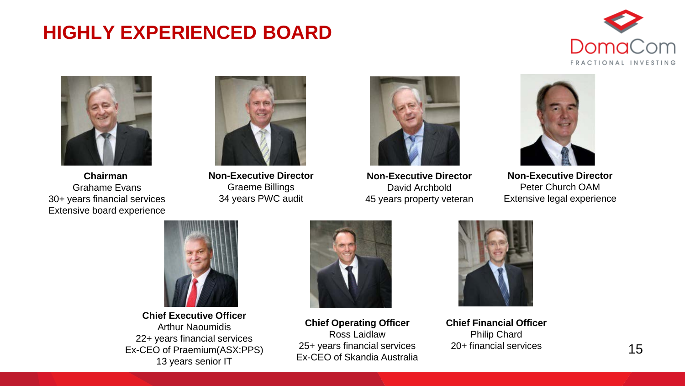### **HIGHLY EXPERIENCED BOARD**





**Chairman**  Grahame Evans 30+ years financial services Extensive board experience



**Non-Executive Director** Graeme Billings 34 years PWC audit



**Non-Executive Director** David Archbold 45 years property veteran



**Non-Executive Director** Peter Church OAM Extensive legal experience



**Chief Executive Officer** Arthur Naoumidis 22+ years financial services Ex-CEO of Praemium(ASX:PPS) 13 years senior IT



**Chief Operating Officer** Ross Laidlaw 25+ years financial services Ex-CEO of Skandia Australia



**Chief Financial Officer** Philip Chard 20+ financial services